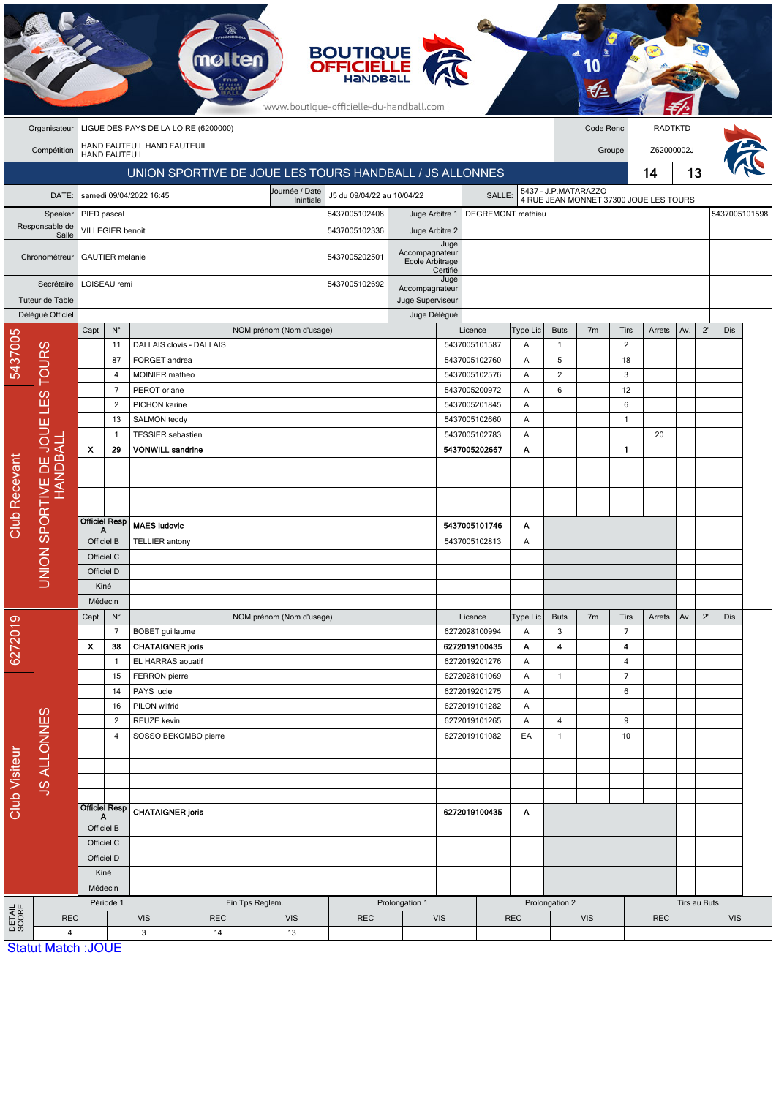| <b>RADTKTD</b><br>Organisateur<br>LIGUE DES PAYS DE LA LOIRE (6200000)<br>Code Renc<br>HAND FAUTEUIL HAND FAUTEUIL<br>Z62000002J<br>Compétition<br>Groupe<br><b>HAND FAUTEUIL</b><br>13<br>UNION SPORTIVE DE JOUE LES TOURS HANDBALL / JS ALLONNES<br>14<br>5437 - J.P.MATARAZZO<br>Journée / Date<br>J5 du 09/04/22 au 10/04/22<br>DATE:<br>samedi 09/04/2022 16:45<br>SALLE:<br>4 RUE JEAN MONNET 37300 JOUE LES TOURS<br>Inintiale<br>5437005102408<br>DEGREMONT mathieu<br>5437005101598<br>PIED pascal<br>Juge Arbitre 1<br>Speaker<br>Responsable de<br><b>VILLEGIER benoit</b><br>5437005102336<br>Juge Arbitre 2<br>Salle<br>Juge<br>Accompagnateur<br>5437005202501<br><b>GAUTIER</b> melanie<br>Chronométreur<br>Ecole Arbitrage<br>Certifié<br>Juge<br>LOISEAU remi<br>5437005102692<br>Secrétaire<br>Accompagnateur<br>Tuteur de Table<br>Juge Superviseur<br>Délégué Officiel<br>Juge Délégué<br>$N^{\circ}$<br><b>Buts</b><br>$2^{\prime}$<br>Capt<br>NOM prénom (Nom d'usage)<br>Licence<br><b>Type Lic</b><br>7m<br>Tirs<br>Arrets<br>Av.<br>Dis<br>5437005<br>$\overline{2}$<br><b>TOURS</b><br>11<br><b>DALLAIS clovis - DALLAIS</b><br>5437005101587<br>Α<br>$\mathbf{1}$<br>FORGET andrea<br>5<br>87<br>5437005102760<br>Α<br>18<br>MOINIER matheo<br>5437005102576<br>2<br>$\overline{4}$<br>Α<br>3<br>$\overline{7}$<br>PEROT oriane<br>5437005200972<br>6<br>12<br>Α<br>LES<br>$\overline{2}$<br>PICHON karine<br>5437005201845<br>6<br>Α<br>13<br>SALMON teddy<br>5437005102660<br>Α<br>$\mathbf{1}$<br>Ш<br>JOU<br><b>TESSIER</b> sebastien<br>5437005102783<br>20<br>$\mathbf{1}$<br>Α<br>UNION SPORTIVE DE JO<br>LANDBALI<br>X<br>29<br><b>VONWILL sandrine</b><br>5437005202667<br>Α<br>$\mathbf{1}$<br><b>Club Recevant</b><br><b>Officiel Resp</b><br><b>MAES ludovic</b><br>5437005101746<br>Α<br>Officiel B<br><b>TELLIER</b> antony<br>5437005102813<br>Α<br>Officiel C<br>Officiel D<br>Kiné<br>Médecin<br>$2^{\prime}$<br>Capt<br>$N^{\circ}$<br>Licence<br>Type Lic<br><b>Buts</b><br>7m<br>Tirs<br>Arrets<br>Av.<br><b>Dis</b><br>NOM prénom (Nom d'usage)<br>6272019<br>6272028100994<br>3<br>$\overline{7}$<br>$\overline{7}$<br><b>BOBET</b> guillaume<br>Α<br>X<br>38<br><b>CHATAIGNER joris</b><br>6272019100435<br>4<br>$\overline{\mathbf{4}}$<br>Α<br>EL HARRAS aouatif<br>6272019201276<br>$\overline{4}$<br>$\mathbf{1}$<br>Α<br>$\overline{7}$<br>FERRON pierre<br>6272028101069<br>$\mathbf{1}$<br>15<br>Α<br>$\,6\,$<br>14<br>PAYS lucie<br>6272019201275<br>Α<br>PILON wilfrid<br>6272019101282<br>16<br>Α<br><b>JS ALLONNES</b><br>$\overline{2}$<br>REUZE kevin<br>6272019101265<br>Α<br>4<br>9<br>$\mathbf{1}$<br>4<br>SOSSO BEKOMBO pierre<br>6272019101082<br>EA<br>10<br><b>Club Visiteur</b><br><b>Officiel Resp</b><br><b>CHATAIGNER joris</b><br>6272019100435<br>Α<br>A<br>Officiel B<br>Officiel C<br>Officiel D<br>Kiné<br>Médecin<br>Période 1<br>Fin Tps Reglem.<br>Tirs au Buts<br>Prolongation 1<br>Prolongation 2<br>DETAIL<br>SCORE<br><b>REC</b><br><b>VIS</b><br><b>REC</b><br><b>VIS</b><br><b>REC</b><br><b>VIS</b><br><b>REC</b><br><b>VIS</b><br><b>REC</b><br><b>VIS</b><br>$\mathbf{3}$<br>$\overline{4}$<br>14<br>13 |  | <b>BOUTIQUE</b><br><b>OFFICIELLE</b><br><b>molten</b><br>www.boutique-officielle-du-handball.com |  |  |  |  |  |  |  |  |  |  |  |  |  |  |  |  |  |  |
|----------------------------------------------------------------------------------------------------------------------------------------------------------------------------------------------------------------------------------------------------------------------------------------------------------------------------------------------------------------------------------------------------------------------------------------------------------------------------------------------------------------------------------------------------------------------------------------------------------------------------------------------------------------------------------------------------------------------------------------------------------------------------------------------------------------------------------------------------------------------------------------------------------------------------------------------------------------------------------------------------------------------------------------------------------------------------------------------------------------------------------------------------------------------------------------------------------------------------------------------------------------------------------------------------------------------------------------------------------------------------------------------------------------------------------------------------------------------------------------------------------------------------------------------------------------------------------------------------------------------------------------------------------------------------------------------------------------------------------------------------------------------------------------------------------------------------------------------------------------------------------------------------------------------------------------------------------------------------------------------------------------------------------------------------------------------------------------------------------------------------------------------------------------------------------------------------------------------------------------------------------------------------------------------------------------------------------------------------------------------------------------------------------------------------------------------------------------------------------------------------------------------------------------------------------------------------------------------------------------------------------------------------------------------------------------------------------------------------------------------------------------------------------------------------------------------------------------------------------------------------------------------------------------------------------------------------------------------------------------------------------------------------------------------------------------------------------------------------------------------------------------------------------------------------------------------------|--|--------------------------------------------------------------------------------------------------|--|--|--|--|--|--|--|--|--|--|--|--|--|--|--|--|--|--|
|                                                                                                                                                                                                                                                                                                                                                                                                                                                                                                                                                                                                                                                                                                                                                                                                                                                                                                                                                                                                                                                                                                                                                                                                                                                                                                                                                                                                                                                                                                                                                                                                                                                                                                                                                                                                                                                                                                                                                                                                                                                                                                                                                                                                                                                                                                                                                                                                                                                                                                                                                                                                                                                                                                                                                                                                                                                                                                                                                                                                                                                                                                                                                                                                    |  |                                                                                                  |  |  |  |  |  |  |  |  |  |  |  |  |  |  |  |  |  |  |
|                                                                                                                                                                                                                                                                                                                                                                                                                                                                                                                                                                                                                                                                                                                                                                                                                                                                                                                                                                                                                                                                                                                                                                                                                                                                                                                                                                                                                                                                                                                                                                                                                                                                                                                                                                                                                                                                                                                                                                                                                                                                                                                                                                                                                                                                                                                                                                                                                                                                                                                                                                                                                                                                                                                                                                                                                                                                                                                                                                                                                                                                                                                                                                                                    |  |                                                                                                  |  |  |  |  |  |  |  |  |  |  |  |  |  |  |  |  |  |  |
|                                                                                                                                                                                                                                                                                                                                                                                                                                                                                                                                                                                                                                                                                                                                                                                                                                                                                                                                                                                                                                                                                                                                                                                                                                                                                                                                                                                                                                                                                                                                                                                                                                                                                                                                                                                                                                                                                                                                                                                                                                                                                                                                                                                                                                                                                                                                                                                                                                                                                                                                                                                                                                                                                                                                                                                                                                                                                                                                                                                                                                                                                                                                                                                                    |  |                                                                                                  |  |  |  |  |  |  |  |  |  |  |  |  |  |  |  |  |  |  |
|                                                                                                                                                                                                                                                                                                                                                                                                                                                                                                                                                                                                                                                                                                                                                                                                                                                                                                                                                                                                                                                                                                                                                                                                                                                                                                                                                                                                                                                                                                                                                                                                                                                                                                                                                                                                                                                                                                                                                                                                                                                                                                                                                                                                                                                                                                                                                                                                                                                                                                                                                                                                                                                                                                                                                                                                                                                                                                                                                                                                                                                                                                                                                                                                    |  |                                                                                                  |  |  |  |  |  |  |  |  |  |  |  |  |  |  |  |  |  |  |
|                                                                                                                                                                                                                                                                                                                                                                                                                                                                                                                                                                                                                                                                                                                                                                                                                                                                                                                                                                                                                                                                                                                                                                                                                                                                                                                                                                                                                                                                                                                                                                                                                                                                                                                                                                                                                                                                                                                                                                                                                                                                                                                                                                                                                                                                                                                                                                                                                                                                                                                                                                                                                                                                                                                                                                                                                                                                                                                                                                                                                                                                                                                                                                                                    |  |                                                                                                  |  |  |  |  |  |  |  |  |  |  |  |  |  |  |  |  |  |  |
|                                                                                                                                                                                                                                                                                                                                                                                                                                                                                                                                                                                                                                                                                                                                                                                                                                                                                                                                                                                                                                                                                                                                                                                                                                                                                                                                                                                                                                                                                                                                                                                                                                                                                                                                                                                                                                                                                                                                                                                                                                                                                                                                                                                                                                                                                                                                                                                                                                                                                                                                                                                                                                                                                                                                                                                                                                                                                                                                                                                                                                                                                                                                                                                                    |  |                                                                                                  |  |  |  |  |  |  |  |  |  |  |  |  |  |  |  |  |  |  |
|                                                                                                                                                                                                                                                                                                                                                                                                                                                                                                                                                                                                                                                                                                                                                                                                                                                                                                                                                                                                                                                                                                                                                                                                                                                                                                                                                                                                                                                                                                                                                                                                                                                                                                                                                                                                                                                                                                                                                                                                                                                                                                                                                                                                                                                                                                                                                                                                                                                                                                                                                                                                                                                                                                                                                                                                                                                                                                                                                                                                                                                                                                                                                                                                    |  |                                                                                                  |  |  |  |  |  |  |  |  |  |  |  |  |  |  |  |  |  |  |
|                                                                                                                                                                                                                                                                                                                                                                                                                                                                                                                                                                                                                                                                                                                                                                                                                                                                                                                                                                                                                                                                                                                                                                                                                                                                                                                                                                                                                                                                                                                                                                                                                                                                                                                                                                                                                                                                                                                                                                                                                                                                                                                                                                                                                                                                                                                                                                                                                                                                                                                                                                                                                                                                                                                                                                                                                                                                                                                                                                                                                                                                                                                                                                                                    |  |                                                                                                  |  |  |  |  |  |  |  |  |  |  |  |  |  |  |  |  |  |  |
|                                                                                                                                                                                                                                                                                                                                                                                                                                                                                                                                                                                                                                                                                                                                                                                                                                                                                                                                                                                                                                                                                                                                                                                                                                                                                                                                                                                                                                                                                                                                                                                                                                                                                                                                                                                                                                                                                                                                                                                                                                                                                                                                                                                                                                                                                                                                                                                                                                                                                                                                                                                                                                                                                                                                                                                                                                                                                                                                                                                                                                                                                                                                                                                                    |  |                                                                                                  |  |  |  |  |  |  |  |  |  |  |  |  |  |  |  |  |  |  |
|                                                                                                                                                                                                                                                                                                                                                                                                                                                                                                                                                                                                                                                                                                                                                                                                                                                                                                                                                                                                                                                                                                                                                                                                                                                                                                                                                                                                                                                                                                                                                                                                                                                                                                                                                                                                                                                                                                                                                                                                                                                                                                                                                                                                                                                                                                                                                                                                                                                                                                                                                                                                                                                                                                                                                                                                                                                                                                                                                                                                                                                                                                                                                                                                    |  |                                                                                                  |  |  |  |  |  |  |  |  |  |  |  |  |  |  |  |  |  |  |
|                                                                                                                                                                                                                                                                                                                                                                                                                                                                                                                                                                                                                                                                                                                                                                                                                                                                                                                                                                                                                                                                                                                                                                                                                                                                                                                                                                                                                                                                                                                                                                                                                                                                                                                                                                                                                                                                                                                                                                                                                                                                                                                                                                                                                                                                                                                                                                                                                                                                                                                                                                                                                                                                                                                                                                                                                                                                                                                                                                                                                                                                                                                                                                                                    |  |                                                                                                  |  |  |  |  |  |  |  |  |  |  |  |  |  |  |  |  |  |  |
|                                                                                                                                                                                                                                                                                                                                                                                                                                                                                                                                                                                                                                                                                                                                                                                                                                                                                                                                                                                                                                                                                                                                                                                                                                                                                                                                                                                                                                                                                                                                                                                                                                                                                                                                                                                                                                                                                                                                                                                                                                                                                                                                                                                                                                                                                                                                                                                                                                                                                                                                                                                                                                                                                                                                                                                                                                                                                                                                                                                                                                                                                                                                                                                                    |  |                                                                                                  |  |  |  |  |  |  |  |  |  |  |  |  |  |  |  |  |  |  |
|                                                                                                                                                                                                                                                                                                                                                                                                                                                                                                                                                                                                                                                                                                                                                                                                                                                                                                                                                                                                                                                                                                                                                                                                                                                                                                                                                                                                                                                                                                                                                                                                                                                                                                                                                                                                                                                                                                                                                                                                                                                                                                                                                                                                                                                                                                                                                                                                                                                                                                                                                                                                                                                                                                                                                                                                                                                                                                                                                                                                                                                                                                                                                                                                    |  |                                                                                                  |  |  |  |  |  |  |  |  |  |  |  |  |  |  |  |  |  |  |
|                                                                                                                                                                                                                                                                                                                                                                                                                                                                                                                                                                                                                                                                                                                                                                                                                                                                                                                                                                                                                                                                                                                                                                                                                                                                                                                                                                                                                                                                                                                                                                                                                                                                                                                                                                                                                                                                                                                                                                                                                                                                                                                                                                                                                                                                                                                                                                                                                                                                                                                                                                                                                                                                                                                                                                                                                                                                                                                                                                                                                                                                                                                                                                                                    |  |                                                                                                  |  |  |  |  |  |  |  |  |  |  |  |  |  |  |  |  |  |  |
|                                                                                                                                                                                                                                                                                                                                                                                                                                                                                                                                                                                                                                                                                                                                                                                                                                                                                                                                                                                                                                                                                                                                                                                                                                                                                                                                                                                                                                                                                                                                                                                                                                                                                                                                                                                                                                                                                                                                                                                                                                                                                                                                                                                                                                                                                                                                                                                                                                                                                                                                                                                                                                                                                                                                                                                                                                                                                                                                                                                                                                                                                                                                                                                                    |  |                                                                                                  |  |  |  |  |  |  |  |  |  |  |  |  |  |  |  |  |  |  |
|                                                                                                                                                                                                                                                                                                                                                                                                                                                                                                                                                                                                                                                                                                                                                                                                                                                                                                                                                                                                                                                                                                                                                                                                                                                                                                                                                                                                                                                                                                                                                                                                                                                                                                                                                                                                                                                                                                                                                                                                                                                                                                                                                                                                                                                                                                                                                                                                                                                                                                                                                                                                                                                                                                                                                                                                                                                                                                                                                                                                                                                                                                                                                                                                    |  |                                                                                                  |  |  |  |  |  |  |  |  |  |  |  |  |  |  |  |  |  |  |
|                                                                                                                                                                                                                                                                                                                                                                                                                                                                                                                                                                                                                                                                                                                                                                                                                                                                                                                                                                                                                                                                                                                                                                                                                                                                                                                                                                                                                                                                                                                                                                                                                                                                                                                                                                                                                                                                                                                                                                                                                                                                                                                                                                                                                                                                                                                                                                                                                                                                                                                                                                                                                                                                                                                                                                                                                                                                                                                                                                                                                                                                                                                                                                                                    |  |                                                                                                  |  |  |  |  |  |  |  |  |  |  |  |  |  |  |  |  |  |  |
|                                                                                                                                                                                                                                                                                                                                                                                                                                                                                                                                                                                                                                                                                                                                                                                                                                                                                                                                                                                                                                                                                                                                                                                                                                                                                                                                                                                                                                                                                                                                                                                                                                                                                                                                                                                                                                                                                                                                                                                                                                                                                                                                                                                                                                                                                                                                                                                                                                                                                                                                                                                                                                                                                                                                                                                                                                                                                                                                                                                                                                                                                                                                                                                                    |  |                                                                                                  |  |  |  |  |  |  |  |  |  |  |  |  |  |  |  |  |  |  |
|                                                                                                                                                                                                                                                                                                                                                                                                                                                                                                                                                                                                                                                                                                                                                                                                                                                                                                                                                                                                                                                                                                                                                                                                                                                                                                                                                                                                                                                                                                                                                                                                                                                                                                                                                                                                                                                                                                                                                                                                                                                                                                                                                                                                                                                                                                                                                                                                                                                                                                                                                                                                                                                                                                                                                                                                                                                                                                                                                                                                                                                                                                                                                                                                    |  |                                                                                                  |  |  |  |  |  |  |  |  |  |  |  |  |  |  |  |  |  |  |
|                                                                                                                                                                                                                                                                                                                                                                                                                                                                                                                                                                                                                                                                                                                                                                                                                                                                                                                                                                                                                                                                                                                                                                                                                                                                                                                                                                                                                                                                                                                                                                                                                                                                                                                                                                                                                                                                                                                                                                                                                                                                                                                                                                                                                                                                                                                                                                                                                                                                                                                                                                                                                                                                                                                                                                                                                                                                                                                                                                                                                                                                                                                                                                                                    |  |                                                                                                  |  |  |  |  |  |  |  |  |  |  |  |  |  |  |  |  |  |  |
|                                                                                                                                                                                                                                                                                                                                                                                                                                                                                                                                                                                                                                                                                                                                                                                                                                                                                                                                                                                                                                                                                                                                                                                                                                                                                                                                                                                                                                                                                                                                                                                                                                                                                                                                                                                                                                                                                                                                                                                                                                                                                                                                                                                                                                                                                                                                                                                                                                                                                                                                                                                                                                                                                                                                                                                                                                                                                                                                                                                                                                                                                                                                                                                                    |  |                                                                                                  |  |  |  |  |  |  |  |  |  |  |  |  |  |  |  |  |  |  |
|                                                                                                                                                                                                                                                                                                                                                                                                                                                                                                                                                                                                                                                                                                                                                                                                                                                                                                                                                                                                                                                                                                                                                                                                                                                                                                                                                                                                                                                                                                                                                                                                                                                                                                                                                                                                                                                                                                                                                                                                                                                                                                                                                                                                                                                                                                                                                                                                                                                                                                                                                                                                                                                                                                                                                                                                                                                                                                                                                                                                                                                                                                                                                                                                    |  |                                                                                                  |  |  |  |  |  |  |  |  |  |  |  |  |  |  |  |  |  |  |
|                                                                                                                                                                                                                                                                                                                                                                                                                                                                                                                                                                                                                                                                                                                                                                                                                                                                                                                                                                                                                                                                                                                                                                                                                                                                                                                                                                                                                                                                                                                                                                                                                                                                                                                                                                                                                                                                                                                                                                                                                                                                                                                                                                                                                                                                                                                                                                                                                                                                                                                                                                                                                                                                                                                                                                                                                                                                                                                                                                                                                                                                                                                                                                                                    |  |                                                                                                  |  |  |  |  |  |  |  |  |  |  |  |  |  |  |  |  |  |  |
|                                                                                                                                                                                                                                                                                                                                                                                                                                                                                                                                                                                                                                                                                                                                                                                                                                                                                                                                                                                                                                                                                                                                                                                                                                                                                                                                                                                                                                                                                                                                                                                                                                                                                                                                                                                                                                                                                                                                                                                                                                                                                                                                                                                                                                                                                                                                                                                                                                                                                                                                                                                                                                                                                                                                                                                                                                                                                                                                                                                                                                                                                                                                                                                                    |  |                                                                                                  |  |  |  |  |  |  |  |  |  |  |  |  |  |  |  |  |  |  |
|                                                                                                                                                                                                                                                                                                                                                                                                                                                                                                                                                                                                                                                                                                                                                                                                                                                                                                                                                                                                                                                                                                                                                                                                                                                                                                                                                                                                                                                                                                                                                                                                                                                                                                                                                                                                                                                                                                                                                                                                                                                                                                                                                                                                                                                                                                                                                                                                                                                                                                                                                                                                                                                                                                                                                                                                                                                                                                                                                                                                                                                                                                                                                                                                    |  |                                                                                                  |  |  |  |  |  |  |  |  |  |  |  |  |  |  |  |  |  |  |
|                                                                                                                                                                                                                                                                                                                                                                                                                                                                                                                                                                                                                                                                                                                                                                                                                                                                                                                                                                                                                                                                                                                                                                                                                                                                                                                                                                                                                                                                                                                                                                                                                                                                                                                                                                                                                                                                                                                                                                                                                                                                                                                                                                                                                                                                                                                                                                                                                                                                                                                                                                                                                                                                                                                                                                                                                                                                                                                                                                                                                                                                                                                                                                                                    |  |                                                                                                  |  |  |  |  |  |  |  |  |  |  |  |  |  |  |  |  |  |  |
|                                                                                                                                                                                                                                                                                                                                                                                                                                                                                                                                                                                                                                                                                                                                                                                                                                                                                                                                                                                                                                                                                                                                                                                                                                                                                                                                                                                                                                                                                                                                                                                                                                                                                                                                                                                                                                                                                                                                                                                                                                                                                                                                                                                                                                                                                                                                                                                                                                                                                                                                                                                                                                                                                                                                                                                                                                                                                                                                                                                                                                                                                                                                                                                                    |  |                                                                                                  |  |  |  |  |  |  |  |  |  |  |  |  |  |  |  |  |  |  |
|                                                                                                                                                                                                                                                                                                                                                                                                                                                                                                                                                                                                                                                                                                                                                                                                                                                                                                                                                                                                                                                                                                                                                                                                                                                                                                                                                                                                                                                                                                                                                                                                                                                                                                                                                                                                                                                                                                                                                                                                                                                                                                                                                                                                                                                                                                                                                                                                                                                                                                                                                                                                                                                                                                                                                                                                                                                                                                                                                                                                                                                                                                                                                                                                    |  |                                                                                                  |  |  |  |  |  |  |  |  |  |  |  |  |  |  |  |  |  |  |
|                                                                                                                                                                                                                                                                                                                                                                                                                                                                                                                                                                                                                                                                                                                                                                                                                                                                                                                                                                                                                                                                                                                                                                                                                                                                                                                                                                                                                                                                                                                                                                                                                                                                                                                                                                                                                                                                                                                                                                                                                                                                                                                                                                                                                                                                                                                                                                                                                                                                                                                                                                                                                                                                                                                                                                                                                                                                                                                                                                                                                                                                                                                                                                                                    |  |                                                                                                  |  |  |  |  |  |  |  |  |  |  |  |  |  |  |  |  |  |  |
|                                                                                                                                                                                                                                                                                                                                                                                                                                                                                                                                                                                                                                                                                                                                                                                                                                                                                                                                                                                                                                                                                                                                                                                                                                                                                                                                                                                                                                                                                                                                                                                                                                                                                                                                                                                                                                                                                                                                                                                                                                                                                                                                                                                                                                                                                                                                                                                                                                                                                                                                                                                                                                                                                                                                                                                                                                                                                                                                                                                                                                                                                                                                                                                                    |  |                                                                                                  |  |  |  |  |  |  |  |  |  |  |  |  |  |  |  |  |  |  |
|                                                                                                                                                                                                                                                                                                                                                                                                                                                                                                                                                                                                                                                                                                                                                                                                                                                                                                                                                                                                                                                                                                                                                                                                                                                                                                                                                                                                                                                                                                                                                                                                                                                                                                                                                                                                                                                                                                                                                                                                                                                                                                                                                                                                                                                                                                                                                                                                                                                                                                                                                                                                                                                                                                                                                                                                                                                                                                                                                                                                                                                                                                                                                                                                    |  |                                                                                                  |  |  |  |  |  |  |  |  |  |  |  |  |  |  |  |  |  |  |
|                                                                                                                                                                                                                                                                                                                                                                                                                                                                                                                                                                                                                                                                                                                                                                                                                                                                                                                                                                                                                                                                                                                                                                                                                                                                                                                                                                                                                                                                                                                                                                                                                                                                                                                                                                                                                                                                                                                                                                                                                                                                                                                                                                                                                                                                                                                                                                                                                                                                                                                                                                                                                                                                                                                                                                                                                                                                                                                                                                                                                                                                                                                                                                                                    |  |                                                                                                  |  |  |  |  |  |  |  |  |  |  |  |  |  |  |  |  |  |  |
|                                                                                                                                                                                                                                                                                                                                                                                                                                                                                                                                                                                                                                                                                                                                                                                                                                                                                                                                                                                                                                                                                                                                                                                                                                                                                                                                                                                                                                                                                                                                                                                                                                                                                                                                                                                                                                                                                                                                                                                                                                                                                                                                                                                                                                                                                                                                                                                                                                                                                                                                                                                                                                                                                                                                                                                                                                                                                                                                                                                                                                                                                                                                                                                                    |  |                                                                                                  |  |  |  |  |  |  |  |  |  |  |  |  |  |  |  |  |  |  |
|                                                                                                                                                                                                                                                                                                                                                                                                                                                                                                                                                                                                                                                                                                                                                                                                                                                                                                                                                                                                                                                                                                                                                                                                                                                                                                                                                                                                                                                                                                                                                                                                                                                                                                                                                                                                                                                                                                                                                                                                                                                                                                                                                                                                                                                                                                                                                                                                                                                                                                                                                                                                                                                                                                                                                                                                                                                                                                                                                                                                                                                                                                                                                                                                    |  |                                                                                                  |  |  |  |  |  |  |  |  |  |  |  |  |  |  |  |  |  |  |
|                                                                                                                                                                                                                                                                                                                                                                                                                                                                                                                                                                                                                                                                                                                                                                                                                                                                                                                                                                                                                                                                                                                                                                                                                                                                                                                                                                                                                                                                                                                                                                                                                                                                                                                                                                                                                                                                                                                                                                                                                                                                                                                                                                                                                                                                                                                                                                                                                                                                                                                                                                                                                                                                                                                                                                                                                                                                                                                                                                                                                                                                                                                                                                                                    |  |                                                                                                  |  |  |  |  |  |  |  |  |  |  |  |  |  |  |  |  |  |  |
|                                                                                                                                                                                                                                                                                                                                                                                                                                                                                                                                                                                                                                                                                                                                                                                                                                                                                                                                                                                                                                                                                                                                                                                                                                                                                                                                                                                                                                                                                                                                                                                                                                                                                                                                                                                                                                                                                                                                                                                                                                                                                                                                                                                                                                                                                                                                                                                                                                                                                                                                                                                                                                                                                                                                                                                                                                                                                                                                                                                                                                                                                                                                                                                                    |  |                                                                                                  |  |  |  |  |  |  |  |  |  |  |  |  |  |  |  |  |  |  |
|                                                                                                                                                                                                                                                                                                                                                                                                                                                                                                                                                                                                                                                                                                                                                                                                                                                                                                                                                                                                                                                                                                                                                                                                                                                                                                                                                                                                                                                                                                                                                                                                                                                                                                                                                                                                                                                                                                                                                                                                                                                                                                                                                                                                                                                                                                                                                                                                                                                                                                                                                                                                                                                                                                                                                                                                                                                                                                                                                                                                                                                                                                                                                                                                    |  |                                                                                                  |  |  |  |  |  |  |  |  |  |  |  |  |  |  |  |  |  |  |
|                                                                                                                                                                                                                                                                                                                                                                                                                                                                                                                                                                                                                                                                                                                                                                                                                                                                                                                                                                                                                                                                                                                                                                                                                                                                                                                                                                                                                                                                                                                                                                                                                                                                                                                                                                                                                                                                                                                                                                                                                                                                                                                                                                                                                                                                                                                                                                                                                                                                                                                                                                                                                                                                                                                                                                                                                                                                                                                                                                                                                                                                                                                                                                                                    |  |                                                                                                  |  |  |  |  |  |  |  |  |  |  |  |  |  |  |  |  |  |  |
|                                                                                                                                                                                                                                                                                                                                                                                                                                                                                                                                                                                                                                                                                                                                                                                                                                                                                                                                                                                                                                                                                                                                                                                                                                                                                                                                                                                                                                                                                                                                                                                                                                                                                                                                                                                                                                                                                                                                                                                                                                                                                                                                                                                                                                                                                                                                                                                                                                                                                                                                                                                                                                                                                                                                                                                                                                                                                                                                                                                                                                                                                                                                                                                                    |  |                                                                                                  |  |  |  |  |  |  |  |  |  |  |  |  |  |  |  |  |  |  |
|                                                                                                                                                                                                                                                                                                                                                                                                                                                                                                                                                                                                                                                                                                                                                                                                                                                                                                                                                                                                                                                                                                                                                                                                                                                                                                                                                                                                                                                                                                                                                                                                                                                                                                                                                                                                                                                                                                                                                                                                                                                                                                                                                                                                                                                                                                                                                                                                                                                                                                                                                                                                                                                                                                                                                                                                                                                                                                                                                                                                                                                                                                                                                                                                    |  |                                                                                                  |  |  |  |  |  |  |  |  |  |  |  |  |  |  |  |  |  |  |
|                                                                                                                                                                                                                                                                                                                                                                                                                                                                                                                                                                                                                                                                                                                                                                                                                                                                                                                                                                                                                                                                                                                                                                                                                                                                                                                                                                                                                                                                                                                                                                                                                                                                                                                                                                                                                                                                                                                                                                                                                                                                                                                                                                                                                                                                                                                                                                                                                                                                                                                                                                                                                                                                                                                                                                                                                                                                                                                                                                                                                                                                                                                                                                                                    |  |                                                                                                  |  |  |  |  |  |  |  |  |  |  |  |  |  |  |  |  |  |  |
|                                                                                                                                                                                                                                                                                                                                                                                                                                                                                                                                                                                                                                                                                                                                                                                                                                                                                                                                                                                                                                                                                                                                                                                                                                                                                                                                                                                                                                                                                                                                                                                                                                                                                                                                                                                                                                                                                                                                                                                                                                                                                                                                                                                                                                                                                                                                                                                                                                                                                                                                                                                                                                                                                                                                                                                                                                                                                                                                                                                                                                                                                                                                                                                                    |  |                                                                                                  |  |  |  |  |  |  |  |  |  |  |  |  |  |  |  |  |  |  |
|                                                                                                                                                                                                                                                                                                                                                                                                                                                                                                                                                                                                                                                                                                                                                                                                                                                                                                                                                                                                                                                                                                                                                                                                                                                                                                                                                                                                                                                                                                                                                                                                                                                                                                                                                                                                                                                                                                                                                                                                                                                                                                                                                                                                                                                                                                                                                                                                                                                                                                                                                                                                                                                                                                                                                                                                                                                                                                                                                                                                                                                                                                                                                                                                    |  |                                                                                                  |  |  |  |  |  |  |  |  |  |  |  |  |  |  |  |  |  |  |
|                                                                                                                                                                                                                                                                                                                                                                                                                                                                                                                                                                                                                                                                                                                                                                                                                                                                                                                                                                                                                                                                                                                                                                                                                                                                                                                                                                                                                                                                                                                                                                                                                                                                                                                                                                                                                                                                                                                                                                                                                                                                                                                                                                                                                                                                                                                                                                                                                                                                                                                                                                                                                                                                                                                                                                                                                                                                                                                                                                                                                                                                                                                                                                                                    |  |                                                                                                  |  |  |  |  |  |  |  |  |  |  |  |  |  |  |  |  |  |  |
|                                                                                                                                                                                                                                                                                                                                                                                                                                                                                                                                                                                                                                                                                                                                                                                                                                                                                                                                                                                                                                                                                                                                                                                                                                                                                                                                                                                                                                                                                                                                                                                                                                                                                                                                                                                                                                                                                                                                                                                                                                                                                                                                                                                                                                                                                                                                                                                                                                                                                                                                                                                                                                                                                                                                                                                                                                                                                                                                                                                                                                                                                                                                                                                                    |  |                                                                                                  |  |  |  |  |  |  |  |  |  |  |  |  |  |  |  |  |  |  |
| <b>Statut Match: JOUE</b>                                                                                                                                                                                                                                                                                                                                                                                                                                                                                                                                                                                                                                                                                                                                                                                                                                                                                                                                                                                                                                                                                                                                                                                                                                                                                                                                                                                                                                                                                                                                                                                                                                                                                                                                                                                                                                                                                                                                                                                                                                                                                                                                                                                                                                                                                                                                                                                                                                                                                                                                                                                                                                                                                                                                                                                                                                                                                                                                                                                                                                                                                                                                                                          |  |                                                                                                  |  |  |  |  |  |  |  |  |  |  |  |  |  |  |  |  |  |  |

a B